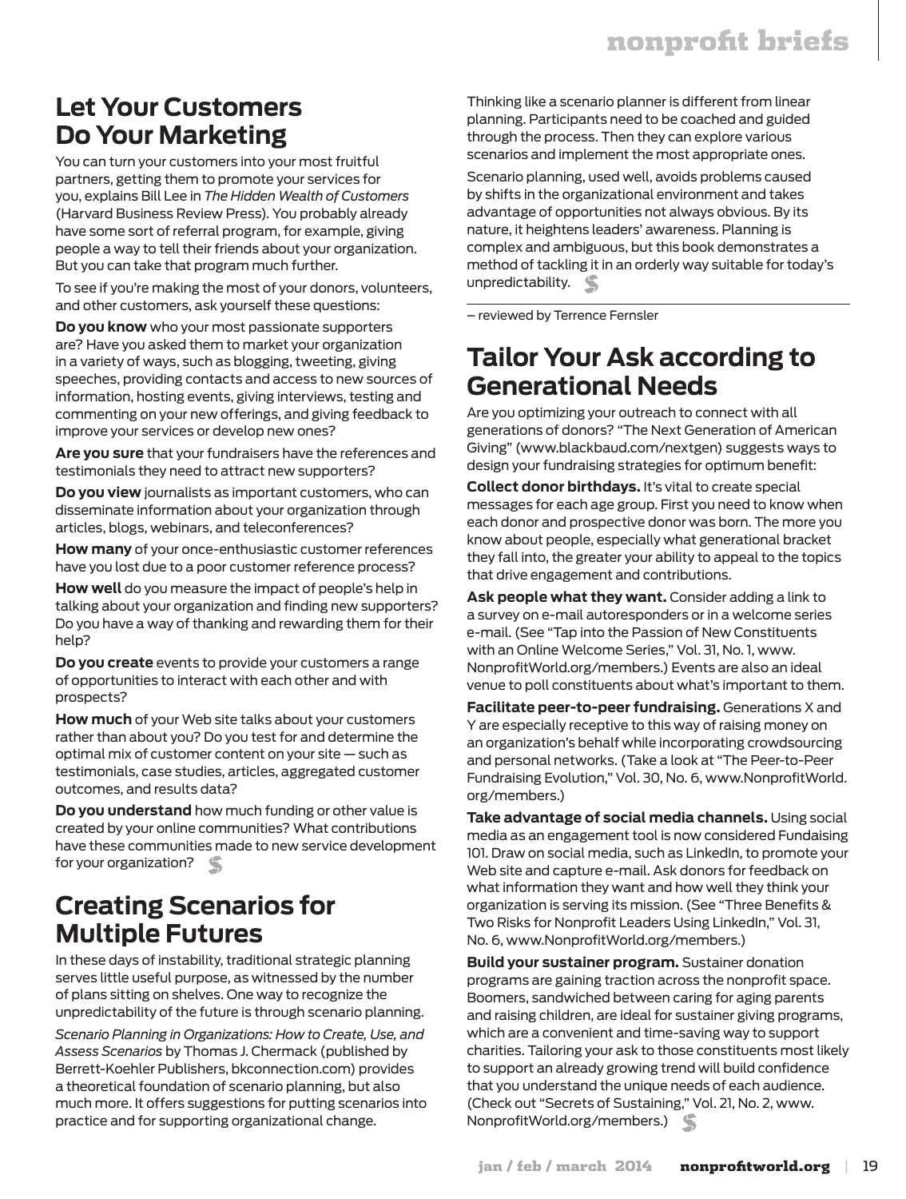## **Let Your Customers Do Your Marketing**

You can turn your customers into your most fruitful partners, getting them to promote your services for you, explains Bill Lee in *The Hidden Wealth of Customers* (Harvard Business Review Press). You probably already have some sort of referral program, for example, giving people a way to tell their friends about your organization. But you can take that program much further.

To see if you're making the most of your donors, volunteers, and other customers, ask yourself these questions:

**Do you know** who your most passionate supporters are? Have you asked them to market your organization in a variety of ways, such as blogging, tweeting, giving speeches, providing contacts and access to new sources of information, hosting events, giving interviews, testing and commenting on your new offerings, and giving feedback to improve your services or develop new ones?

**Are you sure** that your fundraisers have the references and testimonials they need to attract new supporters?

**Do you view** journalists as important customers, who can disseminate information about your organization through articles, blogs, webinars, and teleconferences?

**How many** of your once-enthusiastic customer references have you lost due to a poor customer reference process?

**How well** do you measure the impact of people's help in talking about your organization and finding new supporters? Do you have a way of thanking and rewarding them for their help?

**Do you create** events to provide your customers a range of opportunities to interact with each other and with prospects?

**How much** of your Web site talks about your customers rather than about you? Do you test for and determine the optimal mix of customer content on your site — such as testimonials, case studies, articles, aggregated customer outcomes, and results data?

**Do you understand** how much funding or other value is created by your online communities? What contributions have these communities made to new service development for your organization?

#### **Creating Scenarios for Multiple Futures**

In these days of instability, traditional strategic planning serves little useful purpose, as witnessed by the number of plans sitting on shelves. One way to recognize the unpredictability of the future is through scenario planning.

*Scenario Planning in Organizations: How to Create, Use, and Assess Scenarios* by Thomas J. Chermack (published by Berrett-Koehler Publishers, bkconnection.com) provides a theoretical foundation of scenario planning, but also much more. It offers suggestions for putting scenarios into practice and for supporting organizational change.

Thinking like a scenario planner is different from linear planning. Participants need to be coached and guided through the process. Then they can explore various scenarios and implement the most appropriate ones.

Scenario planning, used well, avoids problems caused by shifts in the organizational environment and takes advantage of opportunities not always obvious. By its nature, it heightens leaders' awareness. Planning is complex and ambiguous, but this book demonstrates a method of tackling it in an orderly way suitable for today's unpredictability.

– reviewed by Terrence Fernsler

#### **Tailor Your Ask according to Generational Needs**

Are you optimizing your outreach to connect with all generations of donors? "The Next Generation of American Giving" (www.blackbaud.com/nextgen) suggests ways to design your fundraising strategies for optimum benefit:

**Collect donor birthdays.** It's vital to create special messages for each age group. First you need to know when each donor and prospective donor was born. The more you know about people, especially what generational bracket they fall into, the greater your ability to appeal to the topics that drive engagement and contributions.

**Ask people what they want.** Consider adding a link to a survey on e-mail autoresponders or in a welcome series e-mail. (See "Tap into the Passion of New Constituents with an Online Welcome Series," Vol. 31, No. 1, www. NonprofitWorld.org/members.) Events are also an ideal venue to poll constituents about what's important to them.

**Facilitate peer-to-peer fundraising.** Generations X and Y are especially receptive to this way of raising money on an organization's behalf while incorporating crowdsourcing and personal networks. (Take a look at "The Peer-to-Peer Fundraising Evolution," Vol. 30, No. 6, www.NonprofitWorld. org/members.)

**Take advantage of social media channels.** Using social media as an engagement tool is now considered Fundaising 101. Draw on social media, such as LinkedIn, to promote your Web site and capture e-mail. Ask donors for feedback on what information they want and how well they think your organization is serving its mission. (See "Three Benefits & Two Risks for Nonprofit Leaders Using LinkedIn," Vol. 31, No. 6, www.NonprofitWorld.org/members.)

**Build your sustainer program.** Sustainer donation programs are gaining traction across the nonprofit space. Boomers, sandwiched between caring for aging parents and raising children, are ideal for sustainer giving programs, which are a convenient and time-saving way to support charities. Tailoring your ask to those constituents most likely to support an already growing trend will build confidence that you understand the unique needs of each audience. (Check out "Secrets of Sustaining," Vol. 21, No. 2, www. NonprofitWorld.org/members.)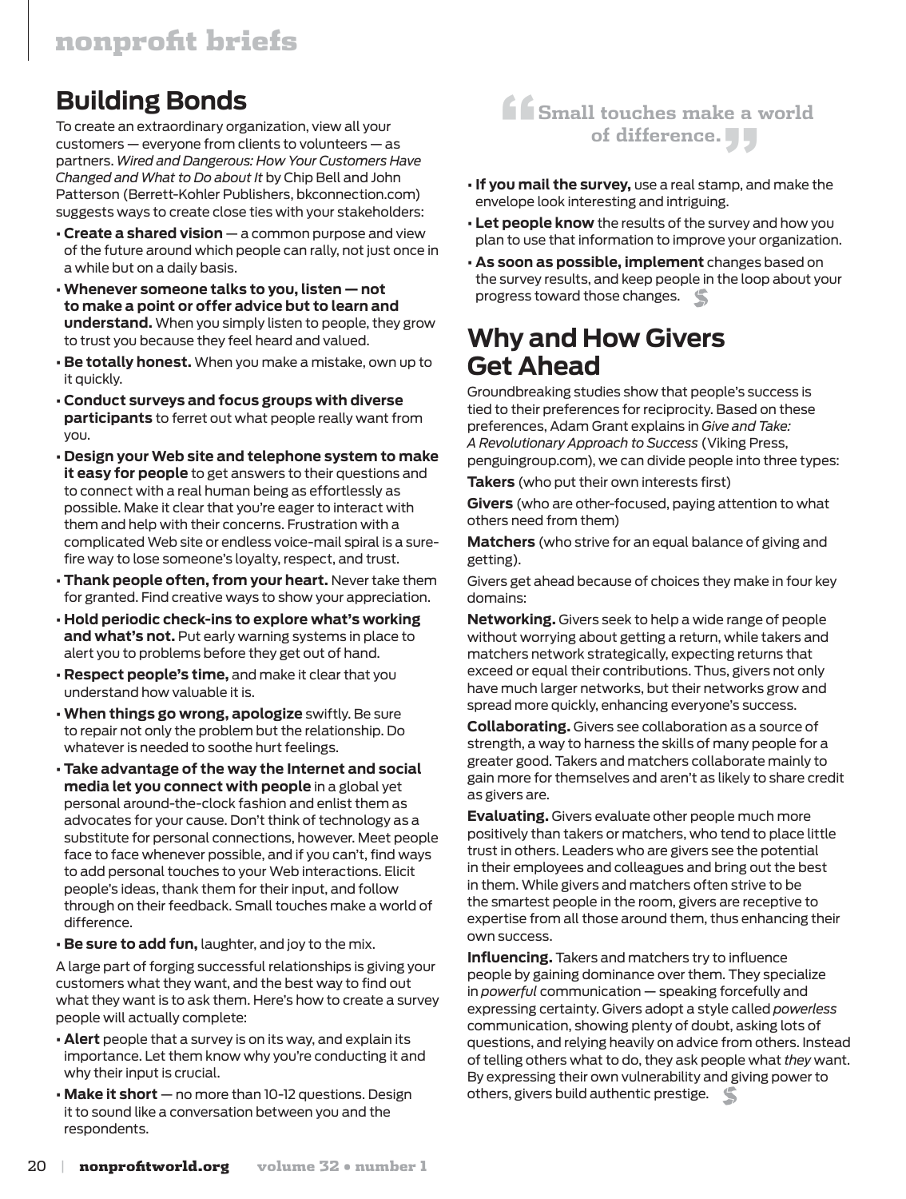# **Building Bonds**

To create an extraordinary organization, view all your customers — everyone from clients to volunteers — as partners. *Wired and Dangerous: How Your Customers Have Changed and What to Do about It* by Chip Bell and John Patterson (Berrett-Kohler Publishers, bkconnection.com) suggests ways to create close ties with your stakeholders:

- **Create a shared vision** a common purpose and view of the future around which people can rally, not just once in a while but on a daily basis.
- **Whenever someone talks to you, listen not to make a point or offer advice but to learn and understand.** When you simply listen to people, they grow to trust you because they feel heard and valued.
- **Be totally honest.** When you make a mistake, own up to it quickly.
- **Conduct surveys and focus groups with diverse participants** to ferret out what people really want from you.
- **Design your Web site and telephone system to make it easy for people** to get answers to their questions and to connect with a real human being as effortlessly as possible. Make it clear that you're eager to interact with them and help with their concerns. Frustration with a complicated Web site or endless voice-mail spiral is a surefire way to lose someone's loyalty, respect, and trust.
- **Thank people often, from your heart.** Never take them for granted. Find creative ways to show your appreciation.
- **Hold periodic check-ins to explore what's working and what's not.** Put early warning systems in place to alert you to problems before they get out of hand.
- **Respect people's time,** and make it clear that you understand how valuable it is.
- **When things go wrong, apologize** swiftly. Be sure to repair not only the problem but the relationship. Do whatever is needed to soothe hurt feelings.
- **Take advantage of the way the Internet and social media let you connect with people** in a global yet personal around-the-clock fashion and enlist them as advocates for your cause. Don't think of technology as a substitute for personal connections, however. Meet people face to face whenever possible, and if you can't, find ways to add personal touches to your Web interactions. Elicit people's ideas, thank them for their input, and follow through on their feedback. Small touches make a world of difference.
- **Be sure to add fun,** laughter, and joy to the mix.

A large part of forging successful relationships is giving your customers what they want, and the best way to find out what they want is to ask them. Here's how to create a survey people will actually complete:

- **Alert** people that a survey is on its way, and explain its importance. Let them know why you're conducting it and why their input is crucial.
- **Make it short** no more than 10-12 questions. Design it to sound like a conversation between you and the respondents.

#### **"Small touches make a world of difference."**

- **If you mail the survey,** use a real stamp, and make the envelope look interesting and intriguing.
- **Let people know** the results of the survey and how you plan to use that information to improve your organization.
- **As soon as possible, implement** changes based on the survey results, and keep people in the loop about your progress toward those changes.

#### **Why and How Givers Get Ahead**

Groundbreaking studies show that people's success is tied to their preferences for reciprocity. Based on these preferences, Adam Grant explains in *Give and Take: A Revolutionary Approach to Success* (Viking Press, penguingroup.com), we can divide people into three types:

**Takers** (who put their own interests first)

**Givers** (who are other-focused, paying attention to what others need from them)

**Matchers** (who strive for an equal balance of giving and getting).

Givers get ahead because of choices they make in four key domains:

**Networking.** Givers seek to help a wide range of people without worrying about getting a return, while takers and matchers network strategically, expecting returns that exceed or equal their contributions. Thus, givers not only have much larger networks, but their networks grow and spread more quickly, enhancing everyone's success.

**Collaborating.** Givers see collaboration as a source of strength, a way to harness the skills of many people for a greater good. Takers and matchers collaborate mainly to gain more for themselves and aren't as likely to share credit as givers are.

**Evaluating.** Givers evaluate other people much more positively than takers or matchers, who tend to place little trust in others. Leaders who are givers see the potential in their employees and colleagues and bring out the best in them. While givers and matchers often strive to be the smartest people in the room, givers are receptive to expertise from all those around them, thus enhancing their own success.

**Influencing.** Takers and matchers try to influence people by gaining dominance over them. They specialize in *powerful* communication — speaking forcefully and expressing certainty. Givers adopt a style called *powerless* communication, showing plenty of doubt, asking lots of questions, and relying heavily on advice from others. Instead of telling others what to do, they ask people what *they* want. By expressing their own vulnerability and giving power to others, givers build authentic prestige.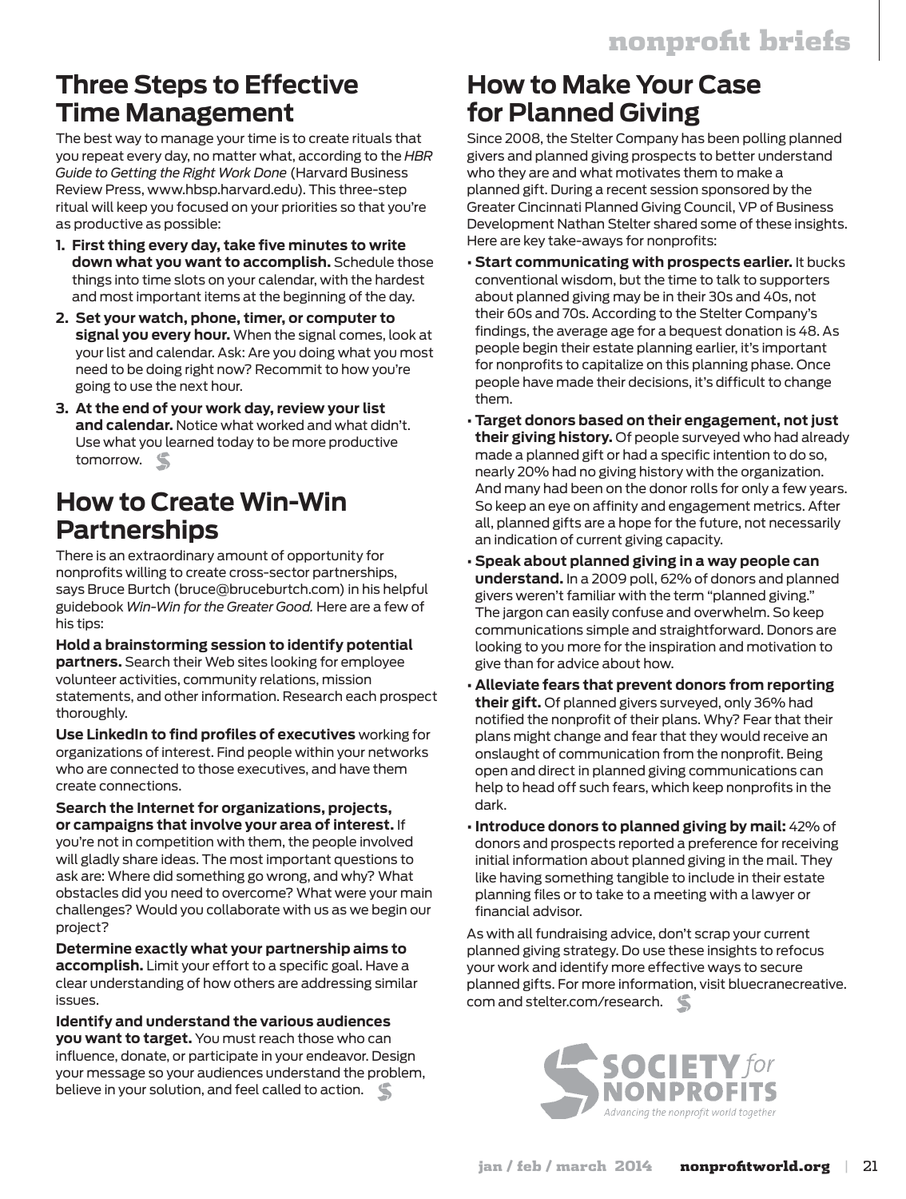# **Three Steps to Effective Time Management**

The best way to manage your time is to create rituals that you repeat every day, no matter what, according to the *HBR Guide to Getting the Right Work Done* (Harvard Business Review Press, www.hbsp.harvard.edu). This three-step ritual will keep you focused on your priorities so that you're as productive as possible:

- **1. First thing every day, take five minutes to write down what you want to accomplish.** Schedule those things into time slots on your calendar, with the hardest and most important items at the beginning of the day.
- **2. Set your watch, phone, timer, or computer to signal you every hour.** When the signal comes, look at your list and calendar. Ask: Are you doing what you most need to be doing right now? Recommit to how you're going to use the next hour.
- **3. At the end of your work day, review your list and calendar.** Notice what worked and what didn't. Use what you learned today to be more productive tomorrow.

# **How to Create Win-Win Partnerships**

There is an extraordinary amount of opportunity for nonprofits willing to create cross-sector partnerships, says Bruce Burtch (bruce@bruceburtch.com) in his helpful guidebook *Win-Win for the Greater Good.* Here are a few of his tips:

**Hold a brainstorming session to identify potential partners.** Search their Web sites looking for employee volunteer activities, community relations, mission statements, and other information. Research each prospect thoroughly.

**Use LinkedIn to find profiles of executives** working for organizations of interest. Find people within your networks who are connected to those executives, and have them create connections.

**Search the Internet for organizations, projects, or campaigns that involve your area of interest.** If you're not in competition with them, the people involved will gladly share ideas. The most important questions to ask are: Where did something go wrong, and why? What obstacles did you need to overcome? What were your main challenges? Would you collaborate with us as we begin our project?

**Determine exactly what your partnership aims to accomplish.** Limit your effort to a specific goal. Have a clear understanding of how others are addressing similar issues.

**Identify and understand the various audiences you want to target.** You must reach those who can influence, donate, or participate in your endeavor. Design your message so your audiences understand the problem, believe in your solution, and feel called to action.

# **How to Make Your Case for Planned Giving**

Since 2008, the Stelter Company has been polling planned givers and planned giving prospects to better understand who they are and what motivates them to make a planned gift. During a recent session sponsored by the Greater Cincinnati Planned Giving Council, VP of Business Development Nathan Stelter shared some of these insights. Here are key take-aways for nonprofits:

- **Start communicating with prospects earlier.** It bucks conventional wisdom, but the time to talk to supporters about planned giving may be in their 30s and 40s, not their 60s and 70s. According to the Stelter Company's findings, the average age for a bequest donation is 48. As people begin their estate planning earlier, it's important for nonprofits to capitalize on this planning phase. Once people have made their decisions, it's difficult to change them.
- **Target donors based on their engagement, not just their giving history.** Of people surveyed who had already made a planned gift or had a specific intention to do so, nearly 20% had no giving history with the organization. And many had been on the donor rolls for only a few years. So keep an eye on affinity and engagement metrics. After all, planned gifts are a hope for the future, not necessarily an indication of current giving capacity.
- **Speak about planned giving in a way people can understand.** In a 2009 poll, 62% of donors and planned givers weren't familiar with the term "planned giving." The jargon can easily confuse and overwhelm. So keep communications simple and straightforward. Donors are looking to you more for the inspiration and motivation to give than for advice about how.
- **Alleviate fears that prevent donors from reporting their gift.** Of planned givers surveyed, only 36% had notified the nonprofit of their plans. Why? Fear that their plans might change and fear that they would receive an onslaught of communication from the nonprofit. Being open and direct in planned giving communications can help to head off such fears, which keep nonprofits in the dark.
- **Introduce donors to planned giving by mail:** 42% of donors and prospects reported a preference for receiving initial information about planned giving in the mail. They like having something tangible to include in their estate planning files or to take to a meeting with a lawyer or financial advisor.

As with all fundraising advice, don't scrap your current planned giving strategy. Do use these insights to refocus your work and identify more effective ways to secure planned gifts. For more information, visit bluecranecreative. com and stelter.com/research.